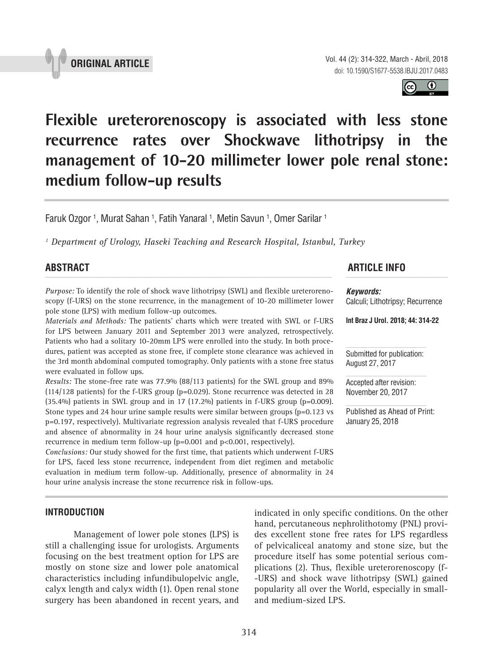



# **Flexible ureterorenoscopy is associated with less stone recurrence rates over Shockwave lithotripsy in the management of 10-20 millimeter lower pole renal stone: medium follow-up results \_\_\_\_\_\_\_\_\_\_\_\_\_\_\_\_\_\_\_\_\_\_\_\_\_\_\_\_\_\_\_\_\_\_\_\_\_\_\_\_\_\_\_\_\_\_\_**

Faruk Ozgor <sup>1</sup>, Murat Sahan <sup>1</sup>, Fatih Yanaral <sup>1</sup>, Metin Savun <sup>1</sup>, Omer Sarilar <sup>1</sup>

*1 Department of Urology, Haseki Teaching and Research Hospital, Istanbul, Turkey*

*Purpose:* To identify the role of shock wave lithotripsy (SWL) and flexible ureterorenoscopy (f-URS) on the stone recurrence, in the management of 10-20 millimeter lower pole stone (LPS) with medium follow-up outcomes.

*Materials and Methods:* The patients' charts which were treated with SWL or f-URS for LPS between January 2011 and September 2013 were analyzed, retrospectively. Patients who had a solitary 10-20mm LPS were enrolled into the study. In both procedures, patient was accepted as stone free, if complete stone clearance was achieved in the 3rd month abdominal computed tomography. Only patients with a stone free status were evaluated in follow ups.

*Results:* The stone-free rate was 77.9% (88/113 patients) for the SWL group and 89%  $(114/128$  patients) for the f-URS group (p=0.029). Stone recurrence was detected in 28  $(35.4\%)$  patients in SWL group and in 17  $(17.2\%)$  patients in f-URS group (p=0.009). Stone types and 24 hour urine sample results were similar between groups (p=0.123 vs p=0.197, respectively). Multivariate regression analysis revealed that f-URS procedure and absence of abnormality in 24 hour urine analysis significantly decreased stone recurrence in medium term follow-up (p=0.001 and p<0.001, respectively).

*Conclusions:* Our study showed for the first time, that patients which underwent f-URS for LPS, faced less stone recurrence, independent from diet regimen and metabolic evaluation in medium term follow-up. Additionally, presence of abnormality in 24 hour urine analysis increase the stone recurrence risk in follow-ups.

# **ABSTRACT ARTICLE INFO** *\_\_\_\_\_\_\_\_\_\_\_\_\_\_\_\_\_\_\_\_\_\_\_\_\_\_\_\_\_\_\_\_\_\_\_\_\_\_\_\_\_\_\_\_\_\_\_\_\_\_\_\_\_\_\_\_\_\_\_\_\_\_ \_\_\_\_\_\_\_\_\_\_\_\_\_\_\_\_\_\_\_\_\_\_*

*Keywords:*

Calculi; Lithotripsy; Recurrence

**Int Braz J Urol. 2018; 44: 314-22**

Submitted for publication: August 27, 2017

Accepted after revision: November 20, 2017

Published as Ahead of Print: January 25, 2018

# **INTRODUCTION**

Management of lower pole stones (LPS) is still a challenging issue for urologists. Arguments focusing on the best treatment option for LPS are mostly on stone size and lower pole anatomical characteristics including infundibulopelvic angle, calyx length and calyx width (1). Open renal stone surgery has been abandoned in recent years, and indicated in only specific conditions. On the other hand, percutaneous nephrolithotomy (PNL) provides excellent stone free rates for LPS regardless of pelvicaliceal anatomy and stone size, but the procedure itself has some potential serious complications (2). Thus, flexible ureterorenoscopy (f- -URS) and shock wave lithotripsy (SWL) gained popularity all over the World, especially in smalland medium-sized LPS.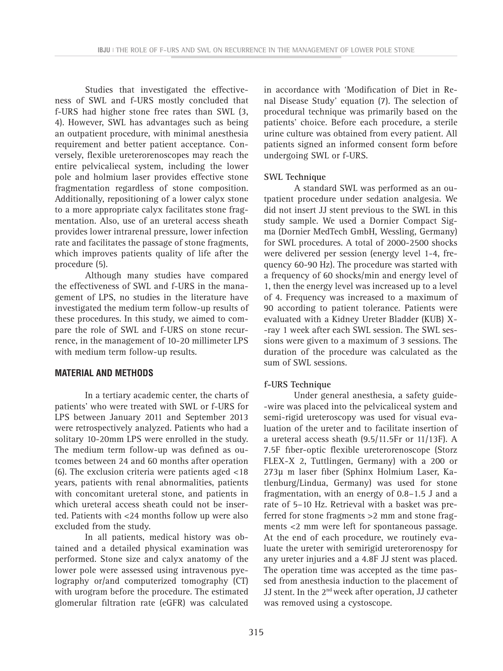Studies that investigated the effectiveness of SWL and f-URS mostly concluded that f-URS had higher stone free rates than SWL (3, 4). However, SWL has advantages such as being an outpatient procedure, with minimal anesthesia requirement and better patient acceptance. Conversely, flexible ureterorenoscopes may reach the entire pelvicaliecal system, including the lower pole and holmium laser provides effective stone fragmentation regardless of stone composition. Additionally, repositioning of a lower calyx stone to a more appropriate calyx facilitates stone fragmentation. Also, use of an ureteral access sheath provides lower intrarenal pressure, lower infection rate and facilitates the passage of stone fragments, which improves patients quality of life after the procedure (5).

Although many studies have compared the effectiveness of SWL and f-URS in the management of LPS, no studies in the literature have investigated the medium term follow-up results of these procedures. In this study, we aimed to compare the role of SWL and f-URS on stone recurrence, in the management of 10-20 millimeter LPS with medium term follow-up results.

# **MATERIAL AND METHODS**

In a tertiary academic center, the charts of patients' who were treated with SWL or f-URS for LPS between January 2011 and September 2013 were retrospectively analyzed. Patients who had a solitary 10-20mm LPS were enrolled in the study. The medium term follow-up was defined as outcomes between 24 and 60 months after operation (6). The exclusion criteria were patients aged <18 years, patients with renal abnormalities, patients with concomitant ureteral stone, and patients in which ureteral access sheath could not be inserted. Patients with <24 months follow up were also excluded from the study.

In all patients, medical history was obtained and a detailed physical examination was performed. Stone size and calyx anatomy of the lower pole were assessed using intravenous pyelography or/and computerized tomography (CT) with urogram before the procedure. The estimated glomerular filtration rate (eGFR) was calculated in accordance with 'Modification of Diet in Renal Disease Study' equation (7). The selection of procedural technique was primarily based on the patients' choice. Before each procedure, a sterile urine culture was obtained from every patient. All patients signed an informed consent form before undergoing SWL or f-URS.

# **SWL Technique**

A standard SWL was performed as an outpatient procedure under sedation analgesia. We did not insert JJ stent previous to the SWL in this study sample. We used a Dornier Compact Sigma (Dornier MedTech GmbH, Wessling, Germany) for SWL procedures. A total of 2000-2500 shocks were delivered per session (energy level 1-4, frequency 60-90 Hz). The procedure was started with a frequency of 60 shocks/min and energy level of 1, then the energy level was increased up to a level of 4. Frequency was increased to a maximum of 90 according to patient tolerance. Patients were evaluated with a Kidney Ureter Bladder (KUB) X- -ray 1 week after each SWL session. The SWL sessions were given to a maximum of 3 sessions. The duration of the procedure was calculated as the sum of SWL sessions.

# **f-URS Technique**

Under general anesthesia, a safety guide- -wire was placed into the pelvicaliceal system and semi-rigid ureteroscopy was used for visual evaluation of the ureter and to facilitate insertion of a ureteral access sheath (9.5/11.5Fr or 11/13F). A 7.5F fiber-optic flexible ureterorenoscope (Storz FLEX-X 2, Tuttlingen, Germany) with a 200 or 273μ m laser fiber (Sphinx Holmium Laser, Katlenburg/Lindua, Germany) was used for stone fragmentation, with an energy of 0.8–1.5 J and a rate of 5–10 Hz. Retrieval with a basket was preferred for stone fragments >2 mm and stone fragments <2 mm were left for spontaneous passage. At the end of each procedure, we routinely evaluate the ureter with semirigid ureterorenospy for any ureter injuries and a 4.8F JJ stent was placed. The operation time was accepted as the time passed from anesthesia induction to the placement of JJ stent. In the 2nd week after operation, JJ catheter was removed using a cystoscope.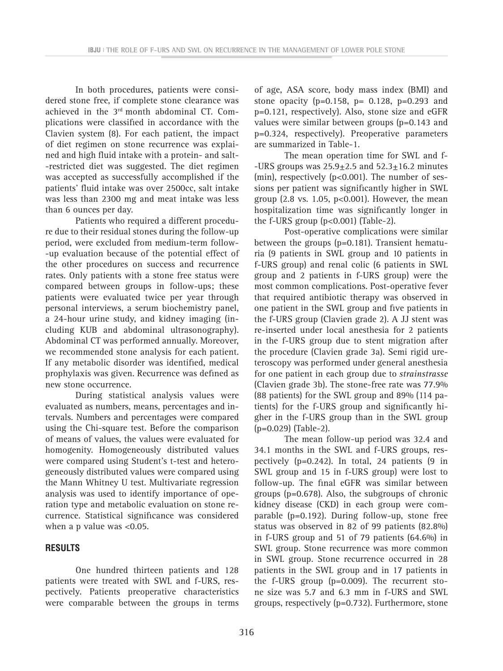In both procedures, patients were considered stone free, if complete stone clearance was achieved in the 3rd month abdominal CT. Complications were classified in accordance with the Clavien system (8). For each patient, the impact of diet regimen on stone recurrence was explained and high fluid intake with a protein- and salt- -restricted diet was suggested. The diet regimen was accepted as successfully accomplished if the patients' fluid intake was over 2500cc, salt intake was less than 2300 mg and meat intake was less than 6 ounces per day.

Patients who required a different procedure due to their residual stones during the follow-up period, were excluded from medium-term follow- -up evaluation because of the potential effect of the other procedures on success and recurrence rates. Only patients with a stone free status were compared between groups in follow-ups; these patients were evaluated twice per year through personal interviews, a serum biochemistry panel, a 24-hour urine study, and kidney imaging (including KUB and abdominal ultrasonography). Abdominal CT was performed annually. Moreover, we recommended stone analysis for each patient. If any metabolic disorder was identified, medical prophylaxis was given. Recurrence was defined as new stone occurrence.

During statistical analysis values were evaluated as numbers, means, percentages and intervals. Numbers and percentages were compared using the Chi-square test. Before the comparison of means of values, the values were evaluated for homogenity. Homogeneously distributed values were compared using Student's t-test and heterogeneously distributed values were compared using the Mann Whitney U test. Multivariate regression analysis was used to identify importance of operation type and metabolic evaluation on stone recurrence. Statistical significance was considered when a p value was <0.05.

# **RESULTS**

One hundred thirteen patients and 128 patients were treated with SWL and f-URS, respectively. Patients preoperative characteristics were comparable between the groups in terms of age, ASA score, body mass index (BMI) and stone opacity ( $p=0.158$ ,  $p=0.128$ ,  $p=0.293$  and p=0.121, respectively). Also, stone size and eGFR values were similar between groups (p=0.143 and p=0.324, respectively). Preoperative parameters are summarized in Table-1.

The mean operation time for SWL and f- -URS groups was  $25.9 \pm 2.5$  and  $52.3 \pm 16.2$  minutes (min), respectively (p<0.001). The number of sessions per patient was significantly higher in SWL group (2.8 vs. 1.05, p<0.001). However, the mean hospitalization time was significantly longer in the f-URS group  $(p<0.001)$  (Table-2).

Post-operative complications were similar between the groups (p=0.181). Transient hematuria (9 patients in SWL group and 10 patients in f-URS group) and renal colic (6 patients in SWL group and 2 patients in f-URS group) were the most common complications. Post-operative fever that required antibiotic therapy was observed in one patient in the SWL group and five patients in the f-URS group (Clavien grade 2). A JJ stent was re-inserted under local anesthesia for 2 patients in the f-URS group due to stent migration after the procedure (Clavien grade 3a). Semi rigid ureteroscopy was performed under general anesthesia for one patient in each group due to *strainstrasse*  (Clavien grade 3b). The stone-free rate was 77.9% (88 patients) for the SWL group and 89% (114 patients) for the f-URS group and significantly higher in the f-URS group than in the SWL group (p=0.029) (Table-2).

The mean follow-up period was 32.4 and 34.1 months in the SWL and f-URS groups, respectively ( $p=0.242$ ). In total, 24 patients (9 in SWL group and 15 in f-URS group) were lost to follow-up. The final eGFR was similar between groups (p=0.678). Also, the subgroups of chronic kidney disease (CKD) in each group were comparable (p=0.192). During follow-up, stone free status was observed in 82 of 99 patients (82.8%) in f-URS group and 51 of 79 patients (64.6%) in SWL group. Stone recurrence was more common in SWL group. Stone recurrence occurred in 28 patients in the SWL group and in 17 patients in the f-URS group (p=0.009). The recurrent stone size was 5.7 and 6.3 mm in f-URS and SWL groups, respectively (p=0.732). Furthermore, stone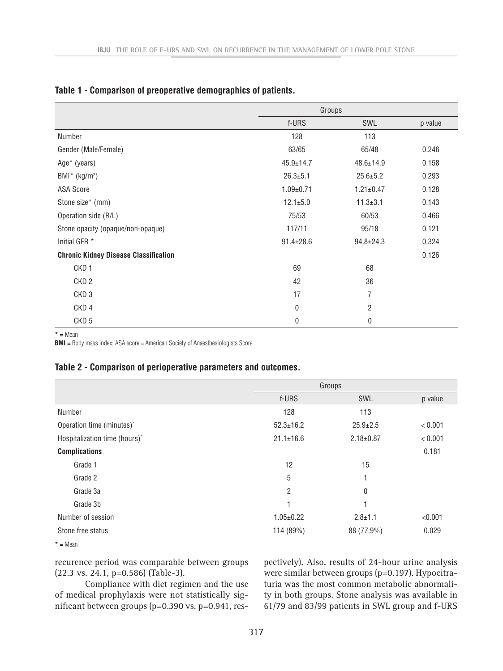|                                              | Groups          |                 |         |
|----------------------------------------------|-----------------|-----------------|---------|
|                                              | f-URS           | SWL             | p value |
| Number                                       | 128             | 113             |         |
| Gender (Male/Female)                         | 63/65           | 65/48           | 0.246   |
| Age* (years)                                 | $45.9 \pm 14.7$ | $48.6 \pm 14.9$ | 0.158   |
| $BMI^*$ (kg/m <sup>2</sup> )                 | $26.3 \pm 5.1$  | $25.6 \pm 5.2$  | 0.293   |
| ASA Score                                    | $1.09 \pm 0.71$ | $1.21 \pm 0.47$ | 0.128   |
| Stone size* (mm)                             | $12.1 \pm 5.0$  | $11.3 \pm 3.1$  | 0.143   |
| Operation side (R/L)                         | 75/53           | 60/53           | 0.466   |
| Stone opacity (opaque/non-opaque)            | 117/11          | 95/18           | 0.121   |
| Initial GFR *                                | $91.4 \pm 28.6$ | $94.8 \pm 24.3$ | 0.324   |
| <b>Chronic Kidney Disease Classification</b> |                 |                 | 0.126   |
| CKD <sub>1</sub>                             | 69              | 68              |         |
| CKD <sub>2</sub>                             | 42              | 36              |         |
| CKD <sub>3</sub>                             | 17              | 7               |         |
| CKD <sub>4</sub>                             | $\mathbf 0$     | $\overline{c}$  |         |
| CKD <sub>5</sub>                             | 0               | 0               |         |

# **Table 1 - Comparison of preoperative demographics of patients.**

**\* =** Mean

**BMI =** Body mass index; ASA score = American Society of Anaesthesiologists Score

# **Table 2 - Comparison of perioperative parameters and outcomes.**

|                               | Groups          |                 |         |
|-------------------------------|-----------------|-----------------|---------|
|                               | f-URS           | SWL             | p value |
| Number                        | 128             | 113             |         |
| Operation time (minutes)*     | $52.3 \pm 16.2$ | $25.9 \pm 2.5$  | < 0.001 |
| Hospitalization time (hours)* | $21.1 \pm 16.6$ | $2.18 \pm 0.87$ | < 0.001 |
| <b>Complications</b>          |                 |                 | 0.181   |
| Grade 1                       | 12              | 15              |         |
| Grade 2                       | 5               |                 |         |
| Grade 3a                      | 2               | 0               |         |
| Grade 3b                      |                 |                 |         |
| Number of session             | $1.05 \pm 0.22$ | $2.8 \pm 1.1$   | < 0.001 |
| Stone free status             | 114 (89%)       | 88 (77.9%)      | 0.029   |

**\* =** Mean

recurence period was comparable between groups (22.3 vs. 24.1, p=0.586) (Table-3).

Compliance with diet regimen and the use of medical prophylaxis were not statistically significant between groups (p=0.390 vs. p=0.941, respectively). Also, results of 24-hour urine analysis were similar between groups (p=0.197). Hypocitraturia was the most common metabolic abnormality in both groups. Stone analysis was available in 61/79 and 83/99 patients in SWL group and f-URS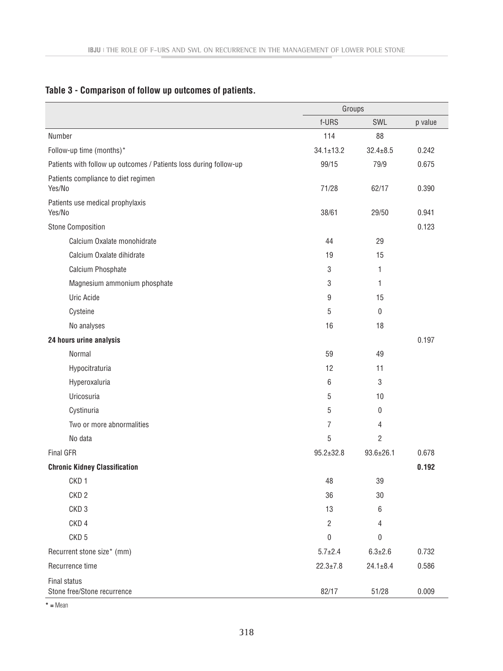|                                                                   | Groups           |                 |         |
|-------------------------------------------------------------------|------------------|-----------------|---------|
|                                                                   | f-URS            | SWL             | p value |
| Number                                                            | 114              | 88              |         |
| Follow-up time (months)*                                          | $34.1 \pm 13.2$  | $32.4 \pm 8.5$  | 0.242   |
| Patients with follow up outcomes / Patients loss during follow-up | 99/15            | 79/9            | 0.675   |
| Patients compliance to diet regimen<br>Yes/No                     | 71/28            | 62/17           | 0.390   |
| Patients use medical prophylaxis<br>Yes/No                        | 38/61            | 29/50           | 0.941   |
| <b>Stone Composition</b>                                          |                  |                 | 0.123   |
| Calcium Oxalate monohidrate                                       | 44               | 29              |         |
| Calcium Oxalate dihidrate                                         | 19               | 15              |         |
| Calcium Phosphate                                                 | 3                | 1               |         |
| Magnesium ammonium phosphate                                      | 3                | 1               |         |
| Uric Acide                                                        | 9                | 15              |         |
| Cysteine                                                          | 5                | $\bf{0}$        |         |
| No analyses                                                       | 16               | 18              |         |
| 24 hours urine analysis                                           |                  |                 | 0.197   |
| Normal                                                            | 59               | 49              |         |
| Hypocitraturia                                                    | 12               | 11              |         |
| Hyperoxaluria                                                     | 6                | 3               |         |
| Uricosuria                                                        | 5                | 10              |         |
| Cystinuria                                                        | 5                | 0               |         |
| Two or more abnormalities                                         | 7                | 4               |         |
| No data                                                           | 5                | $\overline{c}$  |         |
| Final GFR                                                         | $95.2 \pm 32.8$  | $93.6 \pm 26.1$ | 0.678   |
| <b>Chronic Kidney Classification</b>                              |                  |                 | 0.192   |
| CKD <sub>1</sub>                                                  | 48               | 39              |         |
| CKD <sub>2</sub>                                                  | 36               | 30              |         |
| CKD <sub>3</sub>                                                  | 13               | 6               |         |
| CKD <sub>4</sub>                                                  | $\sqrt{2}$       | 4               |         |
| CKD <sub>5</sub>                                                  | $\boldsymbol{0}$ | 0               |         |
| Recurrent stone size* (mm)                                        | $5.7 \pm 2.4$    | $6.3 \pm 2.6$   | 0.732   |
| Recurrence time                                                   | $22.3 \pm 7.8$   | $24.1 \pm 8.4$  | 0.586   |
| Final status<br>Stone free/Stone recurrence                       | 82/17            | 51/28           | 0.009   |

# **Table 3 - Comparison of follow up outcomes of patients.**

**\* =** Mean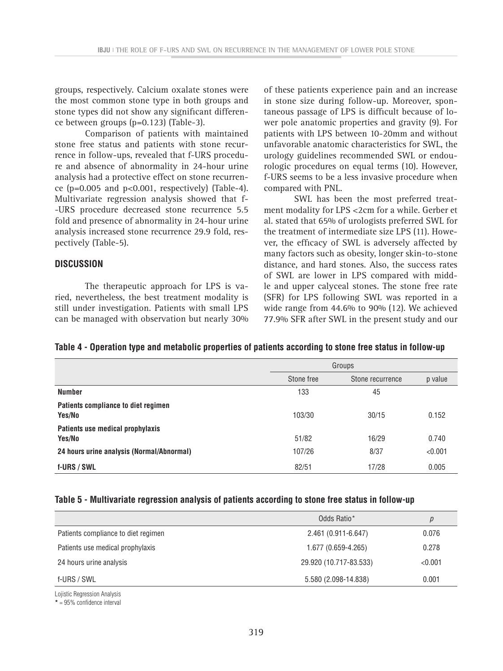groups, respectively. Calcium oxalate stones were the most common stone type in both groups and stone types did not show any significant difference between groups (p=0.123) (Table-3).

Comparison of patients with maintained stone free status and patients with stone recurrence in follow-ups, revealed that f-URS procedure and absence of abnormality in 24-hour urine analysis had a protective effect on stone recurrence  $(p=0.005$  and  $p<0.001$ , respectively) (Table-4). Multivariate regression analysis showed that f- -URS procedure decreased stone recurrence 5.5 fold and presence of abnormality in 24-hour urine analysis increased stone recurrence 29.9 fold, respectively (Table-5).

# **DISCUSSION**

The therapeutic approach for LPS is varied, nevertheless, the best treatment modality is still under investigation. Patients with small LPS can be managed with observation but nearly 30% of these patients experience pain and an increase in stone size during follow-up. Moreover, spontaneous passage of LPS is difficult because of lower pole anatomic properties and gravity (9). For patients with LPS between 10-20mm and without unfavorable anatomic characteristics for SWL, the urology guidelines recommended SWL or endourologic procedures on equal terms (10). However, f-URS seems to be a less invasive procedure when compared with PNL.

SWL has been the most preferred treatment modality for LPS <2cm for a while. Gerber et al. stated that 65% of urologists preferred SWL for the treatment of intermediate size LPS (11). However, the efficacy of SWL is adversely affected by many factors such as obesity, longer skin-to-stone distance, and hard stones. Also, the success rates of SWL are lower in LPS compared with middle and upper calyceal stones. The stone free rate (SFR) for LPS following SWL was reported in a wide range from 44.6% to 90% (12). We achieved 77.9% SFR after SWL in the present study and our

# **Table 4 - Operation type and metabolic properties of patients according to stone free status in follow-up**

|                                               | Groups     |                  |         |
|-----------------------------------------------|------------|------------------|---------|
|                                               | Stone free | Stone recurrence | p value |
| <b>Number</b>                                 | 133        | 45               |         |
| Patients compliance to diet regimen<br>Yes/No | 103/30     | 30/15            | 0.152   |
| Patients use medical prophylaxis<br>Yes/No    | 51/82      | 16/29            | 0.740   |
| 24 hours urine analysis (Normal/Abnormal)     | 107/26     | 8/37             | < 0.001 |
| f-URS / SWL                                   | 82/51      | 17/28            | 0.005   |

# **Table 5 - Multivariate regression analysis of patients according to stone free status in follow-up**

|                                     | Odds Ratio*            | p       |
|-------------------------------------|------------------------|---------|
| Patients compliance to diet regimen | $2.461(0.911-6.647)$   | 0.076   |
| Patients use medical prophylaxis    | 1.677 (0.659-4.265)    | 0.278   |
| 24 hours urine analysis             | 29.920 (10.717-83.533) | < 0.001 |
| f-URS / SWL                         | 5.580 (2.098-14.838)   | 0.001   |

Lojistic Regression Analysis

**\*** = 95% confidence interval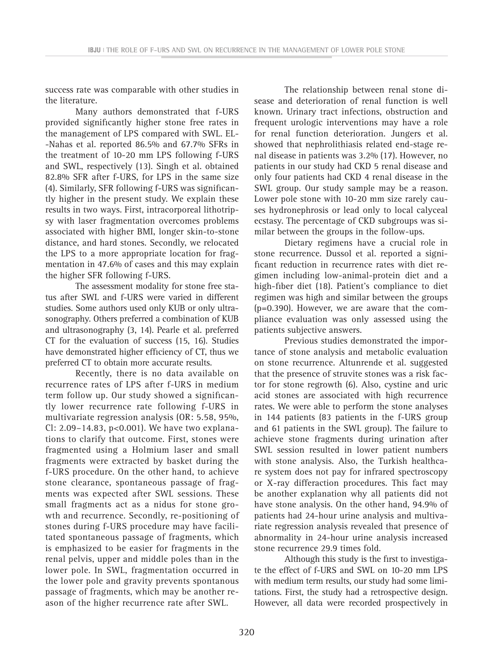success rate was comparable with other studies in the literature.

Many authors demonstrated that f-URS provided significantly higher stone free rates in the management of LPS compared with SWL. EL- -Nahas et al. reported 86.5% and 67.7% SFRs in the treatment of 10-20 mm LPS following f-URS and SWL, respectively (13). Singh et al. obtained 82.8% SFR after f-URS, for LPS in the same size (4). Similarly, SFR following f-URS was significantly higher in the present study. We explain these results in two ways. First, intracorporeal lithotripsy with laser fragmentation overcomes problems associated with higher BMI, longer skin-to-stone distance, and hard stones. Secondly, we relocated the LPS to a more appropriate location for fragmentation in 47.6% of cases and this may explain the higher SFR following f-URS.

The assessment modality for stone free status after SWL and f-URS were varied in different studies. Some authors used only KUB or only ultrasonography. Others preferred a combination of KUB and ultrasonography (3, 14). Pearle et al. preferred CT for the evaluation of success (15, 16). Studies have demonstrated higher efficiency of CT, thus we preferred CT to obtain more accurate results.

Recently, there is no data available on recurrence rates of LPS after f-URS in medium term follow up. Our study showed a significantly lower recurrence rate following f-URS in multivariate regression analysis (OR: 5.58, 95%, Cl: 2.09–14.83, p<0.001). We have two explanations to clarify that outcome. First, stones were fragmented using a Holmium laser and small fragments were extracted by basket during the f-URS procedure. On the other hand, to achieve stone clearance, spontaneous passage of fragments was expected after SWL sessions. These small fragments act as a nidus for stone growth and recurrence. Secondly, re-positioning of stones during f-URS procedure may have facilitated spontaneous passage of fragments, which is emphasized to be easier for fragments in the renal pelvis, upper and middle poles than in the lower pole. In SWL, fragmentation occurred in the lower pole and gravity prevents spontanous passage of fragments, which may be another reason of the higher recurrence rate after SWL.

The relationship between renal stone disease and deterioration of renal function is well known. Urinary tract infections, obstruction and frequent urologic interventions may have a role for renal function deterioration. Jungers et al. showed that nephrolithiasis related end-stage renal disease in patients was 3.2% (17). However, no patients in our study had CKD 5 renal disease and only four patients had CKD 4 renal disease in the SWL group. Our study sample may be a reason. Lower pole stone with 10-20 mm size rarely causes hydronephrosis or lead only to local calyceal ecstasy. The percentage of CKD subgroups was similar between the groups in the follow-ups.

Dietary regimens have a crucial role in stone recurrence. Dussol et al. reported a significant reduction in recurrence rates with diet regimen including low-animal-protein diet and a high-fiber diet (18). Patient's compliance to diet regimen was high and similar between the groups (p=0.390). However, we are aware that the compliance evaluation was only assessed using the patients subjective answers.

Previous studies demonstrated the importance of stone analysis and metabolic evaluation on stone recurrence. Altunrende et al. suggested that the presence of struvite stones was a risk factor for stone regrowth (6). Also, cystine and uric acid stones are associated with high recurrence rates. We were able to perform the stone analyses in 144 patients (83 patients in the f-URS group and 61 patients in the SWL group). The failure to achieve stone fragments during urination after SWL session resulted in lower patient numbers with stone analysis. Also, the Turkish healthcare system does not pay for infrared spectroscopy or X-ray differaction procedures. This fact may be another explanation why all patients did not have stone analysis. On the other hand, 94.9% of patients had 24-hour urine analysis and multivariate regression analysis revealed that presence of abnormality in 24-hour urine analysis increased stone recurrence 29.9 times fold.

Although this study is the first to investigate the effect of f-URS and SWL on 10-20 mm LPS with medium term results, our study had some limitations. First, the study had a retrospective design. However, all data were recorded prospectively in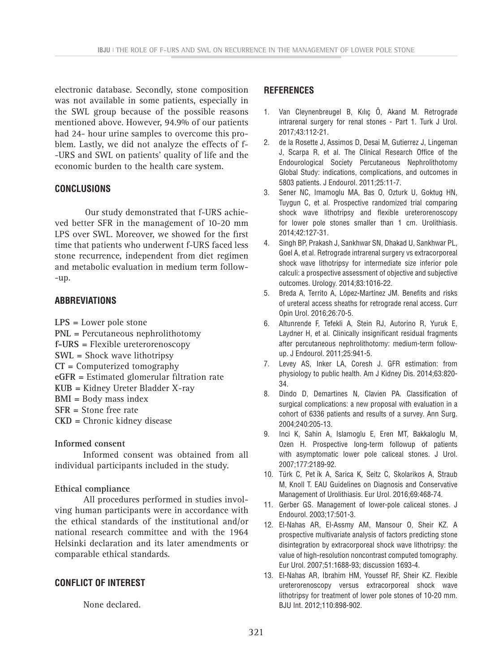electronic database. Secondly, stone composition was not available in some patients, especially in the SWL group because of the possible reasons mentioned above. However, 94.9% of our patients had 24- hour urine samples to overcome this problem. Lastly, we did not analyze the effects of f- -URS and SWL on patients' quality of life and the economic burden to the health care system.

# **CONCLUSIONS**

Our study demonstrated that f-URS achieved better SFR in the management of 10-20 mm LPS over SWL. Moreover, we showed for the first time that patients who underwent f-URS faced less stone recurrence, independent from diet regimen and metabolic evaluation in medium term follow- -up.

# **ABBREVIATIONS**

**LPS =** Lower pole stone

**PNL =** Percutaneous nephrolithotomy **f-URS =** Flexible ureterorenoscopy **SWL =** Shock wave lithotripsy **CT =** Computerized tomography **eGFR =** Estimated glomerular filtration rate **KUB =** Kidney Ureter Bladder X-ray **BMI =** Body mass index **SFR =** Stone free rate **CKD =** Chronic kidney disease

**Informed consent**

Informed consent was obtained from all individual participants included in the study.

# **Ethical compliance**

All procedures performed in studies involving human participants were in accordance with the ethical standards of the institutional and/or national research committee and with the 1964 Helsinki declaration and its later amendments or comparable ethical standards.

# **CONFLICT OF INTEREST**

None declared.

# **REFERENCES**

- 1. Van Cleynenbreugel B, Kılıç Ö, Akand M. Retrograde intrarenal surgery for renal stones - Part 1. Turk J Urol. 2017;43:112-21.
- 2. de la Rosette J, Assimos D, Desai M, Gutierrez J, Lingeman J, Scarpa R, et al. The Clinical Research Office of the Endourological Society Percutaneous Nephrolithotomy Global Study: indications, complications, and outcomes in 5803 patients. J Endourol. 2011;25:11-7.
- 3. Sener NC, Imamoglu MA, Bas O, Ozturk U, Goktug HN, Tuygun C, et al. Prospective randomized trial comparing shock wave lithotripsy and flexible ureterorenoscopy for lower pole stones smaller than 1 cm. Urolithiasis. 2014;42:127-31.
- 4. Singh BP, Prakash J, Sankhwar SN, Dhakad U, Sankhwar PL, Goel A, et al. Retrograde intrarenal surgery vs extracorporeal shock wave lithotripsy for intermediate size inferior pole calculi: a prospective assessment of objective and subjective outcomes. Urology. 2014;83:1016-22.
- 5. Breda A, Territo A, López-Martínez JM. Benefits and risks of ureteral access sheaths for retrograde renal access. Curr Opin Urol. 2016;26:70-5.
- 6. Altunrende F, Tefekli A, Stein RJ, Autorino R, Yuruk E, Laydner H, et al. Clinically insignificant residual fragments after percutaneous nephrolithotomy: medium-term followup. J Endourol. 2011;25:941-5.
- 7. Levey AS, Inker LA, Coresh J. GFR estimation: from physiology to public health. Am J Kidney Dis. 2014;63:820- 34.
- 8. Dindo D, Demartines N, Clavien PA. Classification of surgical complications: a new proposal with evaluation in a cohort of 6336 patients and results of a survey. Ann Surg. 2004;240:205-13.
- 9. Inci K, Sahin A, Islamoglu E, Eren MT, Bakkaloglu M, Ozen H. Prospective long-term followup of patients with asymptomatic lower pole caliceal stones. J Urol. 2007;177:2189-92.
- 10. Türk C, Pet ík A, Sarica K, Seitz C, Skolarikos A, Straub M, Knoll T. EAU Guidelines on Diagnosis and Conservative Management of Urolithiasis. Eur Urol. 2016;69:468-74.
- 11. Gerber GS. Management of lower-pole caliceal stones. J Endourol. 2003;17:501-3.
- 12. El-Nahas AR, El-Assmy AM, Mansour O, Sheir KZ. A prospective multivariate analysis of factors predicting stone disintegration by extracorporeal shock wave lithotripsy: the value of high-resolution noncontrast computed tomography. Eur Urol. 2007;51:1688-93; discussion 1693-4.
- 13. El-Nahas AR, Ibrahim HM, Youssef RF, Sheir KZ. Flexible ureterorenoscopy versus extracorporeal shock wave lithotripsy for treatment of lower pole stones of 10-20 mm. BJU Int. 2012;110:898-902.